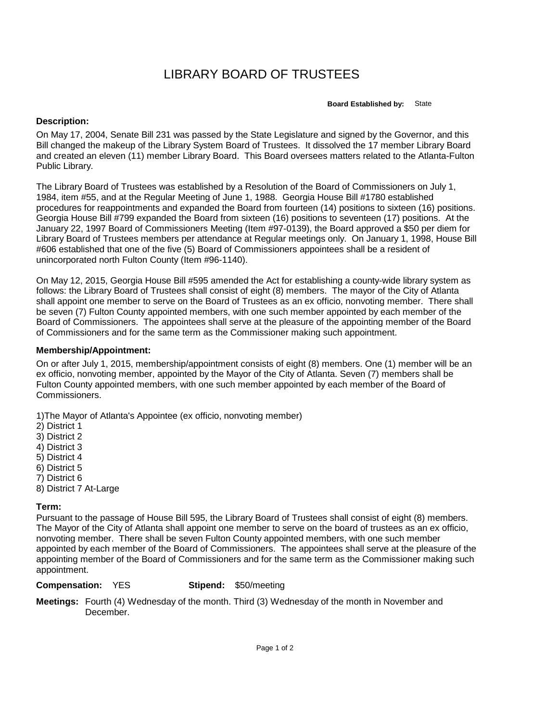## LIBRARY BOARD OF TRUSTEES

**Board Established by:** State

## **Description:**

On May 17, 2004, Senate Bill 231 was passed by the State Legislature and signed by the Governor, and this Bill changed the makeup of the Library System Board of Trustees. It dissolved the 17 member Library Board and created an eleven (11) member Library Board. This Board oversees matters related to the Atlanta-Fulton Public Library.

The Library Board of Trustees was established by a Resolution of the Board of Commissioners on July 1, 1984, item #55, and at the Regular Meeting of June 1, 1988. Georgia House Bill #1780 established procedures for reappointments and expanded the Board from fourteen (14) positions to sixteen (16) positions. Georgia House Bill #799 expanded the Board from sixteen (16) positions to seventeen (17) positions. At the January 22, 1997 Board of Commissioners Meeting (Item #97-0139), the Board approved a \$50 per diem for Library Board of Trustees members per attendance at Regular meetings only. On January 1, 1998, House Bill #606 established that one of the five (5) Board of Commissioners appointees shall be a resident of unincorporated north Fulton County (Item #96-1140).

On May 12, 2015, Georgia House Bill #595 amended the Act for establishing a county-wide library system as follows: the Library Board of Trustees shall consist of eight (8) members. The mayor of the City of Atlanta shall appoint one member to serve on the Board of Trustees as an ex officio, nonvoting member. There shall be seven (7) Fulton County appointed members, with one such member appointed by each member of the Board of Commissioners. The appointees shall serve at the pleasure of the appointing member of the Board of Commissioners and for the same term as the Commissioner making such appointment.

## **Membership/Appointment:**

On or after July 1, 2015, membership/appointment consists of eight (8) members. One (1) member will be an ex officio, nonvoting member, appointed by the Mayor of the City of Atlanta. Seven (7) members shall be Fulton County appointed members, with one such member appointed by each member of the Board of Commissioners.

1)The Mayor of Atlanta's Appointee (ex officio, nonvoting member)

- 2) District 1
- 3) District 2
- 4) District 3
- 5) District 4
- 6) District 5
- 7) District 6
- 8) District 7 At-Large

## **Term:**

Pursuant to the passage of House Bill 595, the Library Board of Trustees shall consist of eight (8) members. The Mayor of the City of Atlanta shall appoint one member to serve on the board of trustees as an ex officio, nonvoting member. There shall be seven Fulton County appointed members, with one such member appointed by each member of the Board of Commissioners. The appointees shall serve at the pleasure of the appointing member of the Board of Commissioners and for the same term as the Commissioner making such appointment.

**Compensation:** YES

**Stipend:** \$50/meeting

**Meetings:** Fourth (4) Wednesday of the month. Third (3) Wednesday of the month in November and December.